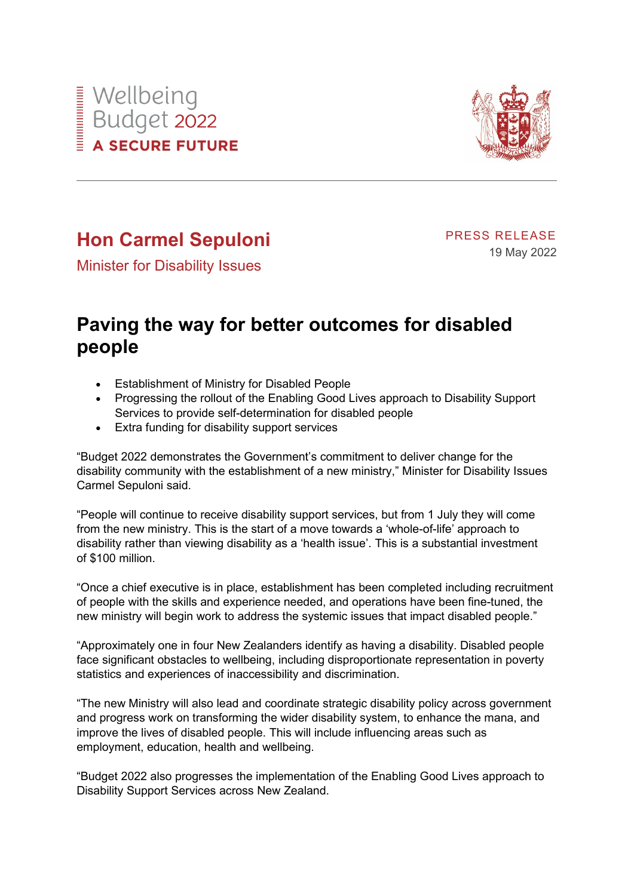



## **Hon Carmel Sepuloni**

PRESS RELEASE 19 May 2022

Minister for Disability Issues

## **Paving the way for better outcomes for disabled people**

- Establishment of Ministry for Disabled People
- Progressing the rollout of the Enabling Good Lives approach to Disability Support Services to provide self-determination for disabled people
- Extra funding for disability support services

"Budget 2022 demonstrates the Government's commitment to deliver change for the disability community with the establishment of a new ministry," Minister for Disability Issues Carmel Sepuloni said.

"People will continue to receive disability support services, but from 1 July they will come from the new ministry. This is the start of a move towards a 'whole-of-life' approach to disability rather than viewing disability as a 'health issue'. This is a substantial investment of \$100 million.

"Once a chief executive is in place, establishment has been completed including recruitment of people with the skills and experience needed, and operations have been fine-tuned, the new ministry will begin work to address the systemic issues that impact disabled people."

"Approximately one in four New Zealanders identify as having a disability. Disabled people face significant obstacles to wellbeing, including disproportionate representation in poverty statistics and experiences of inaccessibility and discrimination.

"The new Ministry will also lead and coordinate strategic disability policy across government and progress work on transforming the wider disability system, to enhance the mana, and improve the lives of disabled people. This will include influencing areas such as employment, education, health and wellbeing.

"Budget 2022 also progresses the implementation of the Enabling Good Lives approach to Disability Support Services across New Zealand.